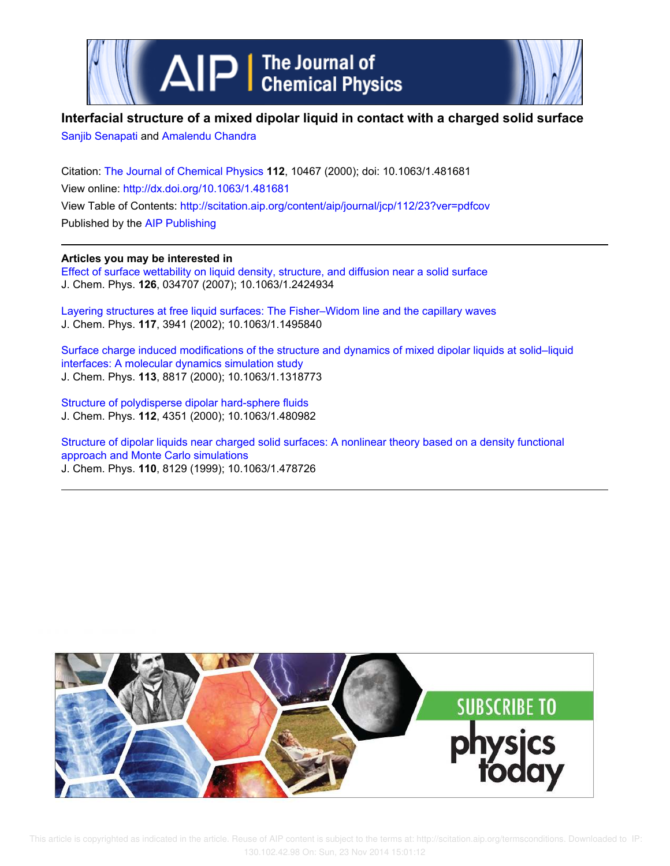

# **Interfacial structure of a mixed dipolar liquid in contact with a charged solid surface**

Sanjib Senapati and Amalendu Chandra

Citation: The Journal of Chemical Physics **112**, 10467 (2000); doi: 10.1063/1.481681 View online: http://dx.doi.org/10.1063/1.481681 View Table of Contents: http://scitation.aip.org/content/aip/journal/jcp/112/23?ver=pdfcov Published by the AIP Publishing

### **Articles you may be interested in**

Effect of surface wettability on liquid density, structure, and diffusion near a solid surface J. Chem. Phys. **126**, 034707 (2007); 10.1063/1.2424934

Layering structures at free liquid surfaces: The Fisher–Widom line and the capillary waves J. Chem. Phys. **117**, 3941 (2002); 10.1063/1.1495840

Surface charge induced modifications of the structure and dynamics of mixed dipolar liquids at solid–liquid interfaces: A molecular dynamics simulation study J. Chem. Phys. **113**, 8817 (2000); 10.1063/1.1318773

Structure of polydisperse dipolar hard-sphere fluids J. Chem. Phys. **112**, 4351 (2000); 10.1063/1.480982

Structure of dipolar liquids near charged solid surfaces: A nonlinear theory based on a density functional approach and Monte Carlo simulations J. Chem. Phys. **110**, 8129 (1999); 10.1063/1.478726

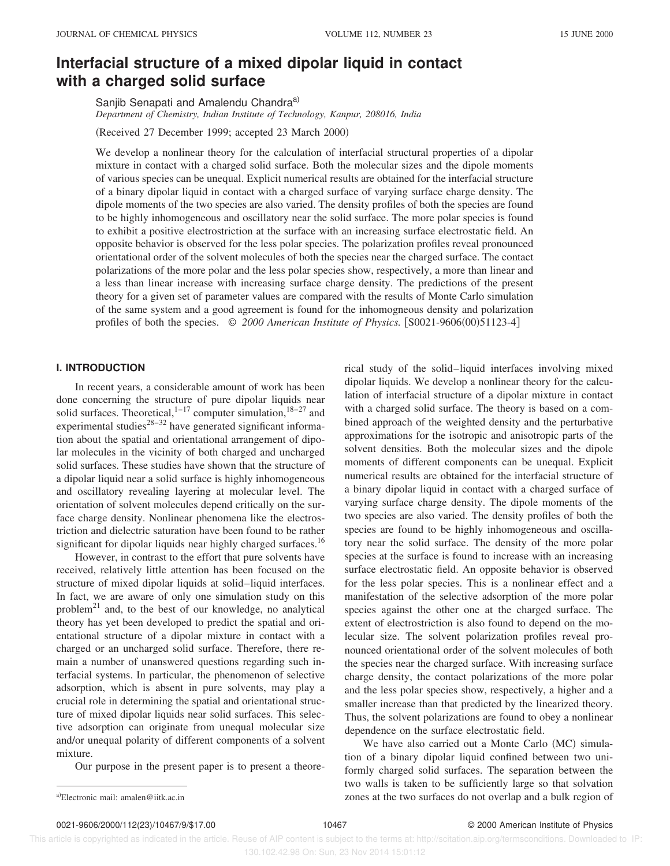## **Interfacial structure of a mixed dipolar liquid in contact with a charged solid surface**

Sanjib Senapati and Amalendu Chandra<sup>a)</sup> *Department of Chemistry, Indian Institute of Technology, Kanpur, 208016, India*

(Received 27 December 1999; accepted 23 March 2000)

We develop a nonlinear theory for the calculation of interfacial structural properties of a dipolar mixture in contact with a charged solid surface. Both the molecular sizes and the dipole moments of various species can be unequal. Explicit numerical results are obtained for the interfacial structure of a binary dipolar liquid in contact with a charged surface of varying surface charge density. The dipole moments of the two species are also varied. The density profiles of both the species are found to be highly inhomogeneous and oscillatory near the solid surface. The more polar species is found to exhibit a positive electrostriction at the surface with an increasing surface electrostatic field. An opposite behavior is observed for the less polar species. The polarization profiles reveal pronounced orientational order of the solvent molecules of both the species near the charged surface. The contact polarizations of the more polar and the less polar species show, respectively, a more than linear and a less than linear increase with increasing surface charge density. The predictions of the present theory for a given set of parameter values are compared with the results of Monte Carlo simulation of the same system and a good agreement is found for the inhomogneous density and polarization profiles of both the species.  $\degree$  *2000 American Institute of Physics.* [S0021-9606(00)51123-4]

### **I. INTRODUCTION**

In recent years, a considerable amount of work has been done concerning the structure of pure dipolar liquids near solid surfaces. Theoretical, $1-17$  computer simulation,  $18-27$  and experimental studies $^{28-32}$  have generated significant information about the spatial and orientational arrangement of dipolar molecules in the vicinity of both charged and uncharged solid surfaces. These studies have shown that the structure of a dipolar liquid near a solid surface is highly inhomogeneous and oscillatory revealing layering at molecular level. The orientation of solvent molecules depend critically on the surface charge density. Nonlinear phenomena like the electrostriction and dielectric saturation have been found to be rather significant for dipolar liquids near highly charged surfaces.<sup>16</sup>

However, in contrast to the effort that pure solvents have received, relatively little attention has been focused on the structure of mixed dipolar liquids at solid–liquid interfaces. In fact, we are aware of only one simulation study on this problem<sup>21</sup> and, to the best of our knowledge, no analytical theory has yet been developed to predict the spatial and orientational structure of a dipolar mixture in contact with a charged or an uncharged solid surface. Therefore, there remain a number of unanswered questions regarding such interfacial systems. In particular, the phenomenon of selective adsorption, which is absent in pure solvents, may play a crucial role in determining the spatial and orientational structure of mixed dipolar liquids near solid surfaces. This selective adsorption can originate from unequal molecular size and/or unequal polarity of different components of a solvent mixture.

Our purpose in the present paper is to present a theore-

rical study of the solid–liquid interfaces involving mixed dipolar liquids. We develop a nonlinear theory for the calculation of interfacial structure of a dipolar mixture in contact with a charged solid surface. The theory is based on a combined approach of the weighted density and the perturbative approximations for the isotropic and anisotropic parts of the solvent densities. Both the molecular sizes and the dipole moments of different components can be unequal. Explicit numerical results are obtained for the interfacial structure of a binary dipolar liquid in contact with a charged surface of varying surface charge density. The dipole moments of the two species are also varied. The density profiles of both the species are found to be highly inhomogeneous and oscillatory near the solid surface. The density of the more polar species at the surface is found to increase with an increasing surface electrostatic field. An opposite behavior is observed for the less polar species. This is a nonlinear effect and a manifestation of the selective adsorption of the more polar species against the other one at the charged surface. The extent of electrostriction is also found to depend on the molecular size. The solvent polarization profiles reveal pronounced orientational order of the solvent molecules of both the species near the charged surface. With increasing surface charge density, the contact polarizations of the more polar and the less polar species show, respectively, a higher and a smaller increase than that predicted by the linearized theory. Thus, the solvent polarizations are found to obey a nonlinear dependence on the surface electrostatic field.

We have also carried out a Monte Carlo (MC) simulation of a binary dipolar liquid confined between two uniformly charged solid surfaces. The separation between the two walls is taken to be sufficiently large so that solvation a)Electronic mail: amalen@iitk.ac.in **a** a bulk region of a bulk region of a bulk region of

0021-9606/2000/112(23)/10467/9/\$17.00 10467 © 2000 American Institute of Physics

 This article is copyrighted as indicated in the article. Reuse of AIP content is subject to the terms at: http://scitation.aip.org/termsconditions. Downloaded to IP: 130.102.42.98 On: Sun, 23 Nov 2014 15:01:12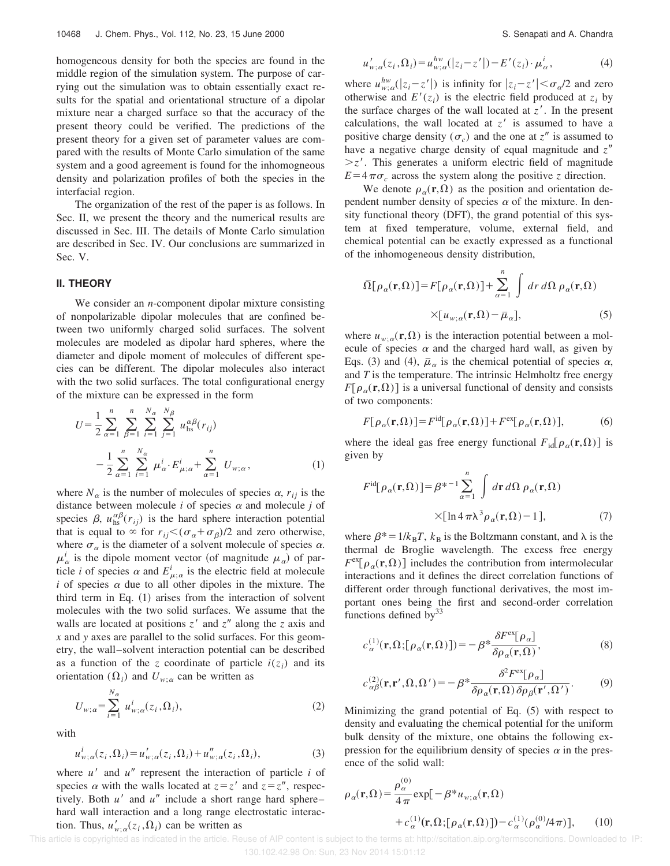homogeneous density for both the species are found in the middle region of the simulation system. The purpose of carrying out the simulation was to obtain essentially exact results for the spatial and orientational structure of a dipolar mixture near a charged surface so that the accuracy of the present theory could be verified. The predictions of the present theory for a given set of parameter values are compared with the results of Monte Carlo simulation of the same system and a good agreement is found for the inhomogneous density and polarization profiles of both the species in the interfacial region.

The organization of the rest of the paper is as follows. In Sec. II, we present the theory and the numerical results are discussed in Sec. III. The details of Monte Carlo simulation are described in Sec. IV. Our conclusions are summarized in Sec. V.

#### **II. THEORY**

We consider an *n*-component dipolar mixture consisting of nonpolarizable dipolar molecules that are confined between two uniformly charged solid surfaces. The solvent molecules are modeled as dipolar hard spheres, where the diameter and dipole moment of molecules of different species can be different. The dipolar molecules also interact with the two solid surfaces. The total configurational energy of the mixture can be expressed in the form

$$
U = \frac{1}{2} \sum_{\alpha=1}^{n} \sum_{\beta=1}^{n} \sum_{i=1}^{N_{\alpha}} \sum_{j=1}^{N_{\beta}} u_{\text{hs}}^{\alpha \beta}(r_{ij})
$$
  

$$
- \frac{1}{2} \sum_{\alpha=1}^{n} \sum_{i=1}^{N_{\alpha}} \mu_{\alpha}^{i} \cdot E_{\mu;\alpha}^{i} + \sum_{\alpha=1}^{n} U_{w;\alpha}, \qquad (1)
$$

where  $N_{\alpha}$  is the number of molecules of species  $\alpha$ ,  $r_{ij}$  is the distance between molecule  $i$  of species  $\alpha$  and molecule  $j$  of species  $\beta$ ,  $u_{\text{hs}}^{\alpha\beta}(r_{ij})$  is the hard sphere interaction potential that is equal to  $\infty$  for  $r_{ij} < (\sigma_{\alpha} + \sigma_{\beta})/2$  and zero otherwise, where  $\sigma_{\alpha}$  is the diameter of a solvent molecule of species  $\alpha$ .  $\mu_{\alpha}^{i}$  is the dipole moment vector (of magnitude  $\mu_{\alpha}$ ) of particle *i* of species  $\alpha$  and  $E^i_{\mu;\alpha}$  is the electric field at molecule *i* of species  $\alpha$  due to all other dipoles in the mixture. The third term in Eq.  $(1)$  arises from the interaction of solvent molecules with the two solid surfaces. We assume that the walls are located at positions  $z<sup>7</sup>$  and  $z<sup>9</sup>$  along the *z* axis and *x* and *y* axes are parallel to the solid surfaces. For this geometry, the wall–solvent interaction potential can be described as a function of the *z* coordinate of particle  $i(z_i)$  and its orientation  $(\Omega_i)$  and  $U_{w;\alpha}$  can be written as

$$
U_{w;\alpha} = \sum_{i=1}^{N_{\alpha}} u_{w;\alpha}^{i}(z_i,\Omega_i),
$$
 (2)

with

$$
u_{w;\alpha}^{i}(z_{i},\Omega_{i}) = u_{w;\alpha}^{\prime}(z_{i},\Omega_{i}) + u_{w;\alpha}^{\prime\prime}(z_{i},\Omega_{i}),
$$
\n(3)

where  $u'$  and  $u''$  represent the interaction of particle  $i$  of species  $\alpha$  with the walls located at  $z = z'$  and  $z = z''$ , respectively. Both  $u'$  and  $u''$  include a short range hard sphere– hard wall interaction and a long range electrostatic interaction. Thus,  $u'_{w;\alpha}(z_i,\Omega_i)$  can be written as

$$
u'_{w;\alpha}(z_i,\Omega_i) = u^{hw}_{w;\alpha}(|z_i - z'|) - E'(z_i) \cdot \mu^i_{\alpha},\tag{4}
$$

where  $u_{w;\alpha}^{hw}(|z_i - z'|)$  is infinity for  $|z_i - z'| < \sigma_\alpha/2$  and zero otherwise and  $E'(z_i)$  is the electric field produced at  $z_i$  by the surface charges of the wall located at  $z'$ . In the present calculations, the wall located at  $z<sup>8</sup>$  is assumed to have a positive charge density ( $\sigma_c$ ) and the one at *z*<sup>*n*</sup> is assumed to have a negative charge density of equal magnitude and  $z''$  $\geq$ z'. This generates a uniform electric field of magnitude  $E=4\pi\sigma_c$  across the system along the positive *z* direction.

We denote  $\rho_{\alpha}(\mathbf{r},\Omega)$  as the position and orientation dependent number density of species  $\alpha$  of the mixture. In density functional theory  $(DFT)$ , the grand potential of this system at fixed temperature, volume, external field, and chemical potential can be exactly expressed as a functional of the inhomogeneous density distribution,

$$
\bar{\Omega}[\rho_{\alpha}(\mathbf{r}, \Omega)] = F[\rho_{\alpha}(\mathbf{r}, \Omega)] + \sum_{\alpha=1}^{n} \int dr d\Omega \rho_{\alpha}(\mathbf{r}, \Omega)
$$

$$
\times [u_{w;\alpha}(\mathbf{r}, \Omega) - \bar{\mu}_{\alpha}], \qquad (5)
$$

where  $u_{w;\alpha}(\mathbf{r},\Omega)$  is the interaction potential between a molecule of species  $\alpha$  and the charged hard wall, as given by Eqs. (3) and (4),  $\bar{\mu}_{\alpha}$  is the chemical potential of species  $\alpha$ , and *T* is the temperature. The intrinsic Helmholtz free energy  $F[\rho_{\alpha}(\mathbf{r},\Omega)]$  is a universal functional of density and consists of two components:

$$
F[\rho_{\alpha}(\mathbf{r},\Omega)] = F^{\text{id}}[\rho_{\alpha}(\mathbf{r},\Omega)] + F^{\text{ex}}[\rho_{\alpha}(\mathbf{r},\Omega)],\tag{6}
$$

where the ideal gas free energy functional  $F_{\text{id}}[\rho_{\alpha}(\mathbf{r},\Omega)]$  is given by

$$
F^{\text{id}}[\rho_{\alpha}(\mathbf{r},\Omega)] = \beta^{*-1} \sum_{\alpha=1}^{n} \int d\mathbf{r} \, d\Omega \, \rho_{\alpha}(\mathbf{r},\Omega)
$$

$$
\times [\ln 4 \pi \lambda^{3} \rho_{\alpha}(\mathbf{r},\Omega) - 1], \tag{7}
$$

where  $\beta^* = 1/k_B T$ ,  $k_B$  is the Boltzmann constant, and  $\lambda$  is the thermal de Broglie wavelength. The excess free energy  $F^{\text{ex}}[\rho_{\alpha}(\mathbf{r},\Omega)]$  includes the contribution from intermolecular interactions and it defines the direct correlation functions of different order through functional derivatives, the most important ones being the first and second-order correlation functions defined by  $33$ 

$$
c_{\alpha}^{(1)}(\mathbf{r},\Omega;[\rho_{\alpha}(\mathbf{r},\Omega)]) = -\beta^* \frac{\delta F^{\text{ex}}[\rho_{\alpha}]}{\delta \rho_{\alpha}(\mathbf{r},\Omega)},\tag{8}
$$

$$
c_{\alpha\beta}^{(2)}(\mathbf{r}, \mathbf{r}', \Omega, \Omega') = -\beta^* \frac{\delta^2 F^{\text{ex}}[\rho_{\alpha}]}{\delta \rho_{\alpha}(\mathbf{r}, \Omega) \delta \rho_{\beta}(\mathbf{r}', \Omega')}.
$$
(9)

Minimizing the grand potential of Eq.  $(5)$  with respect to density and evaluating the chemical potential for the uniform bulk density of the mixture, one obtains the following expression for the equilibrium density of species  $\alpha$  in the presence of the solid wall:

$$
\rho_{\alpha}(\mathbf{r}, \Omega) = \frac{\rho_{\alpha}^{(0)}}{4\pi} \exp[-\beta^* u_{w;\alpha}(\mathbf{r}, \Omega) \n+ c_{\alpha}^{(1)}(\mathbf{r}, \Omega; [\rho_{\alpha}(\mathbf{r}, \Omega)]) - c_{\alpha}^{(1)}(\rho_{\alpha}^{(0)} / 4\pi)], \quad (10)
$$

 This article is copyrighted as indicated in the article. Reuse of AIP content is subject to the terms at: http://scitation.aip.org/termsconditions. Downloaded to IP: 130.102.42.98 On: Sun, 23 Nov 2014 15:01:12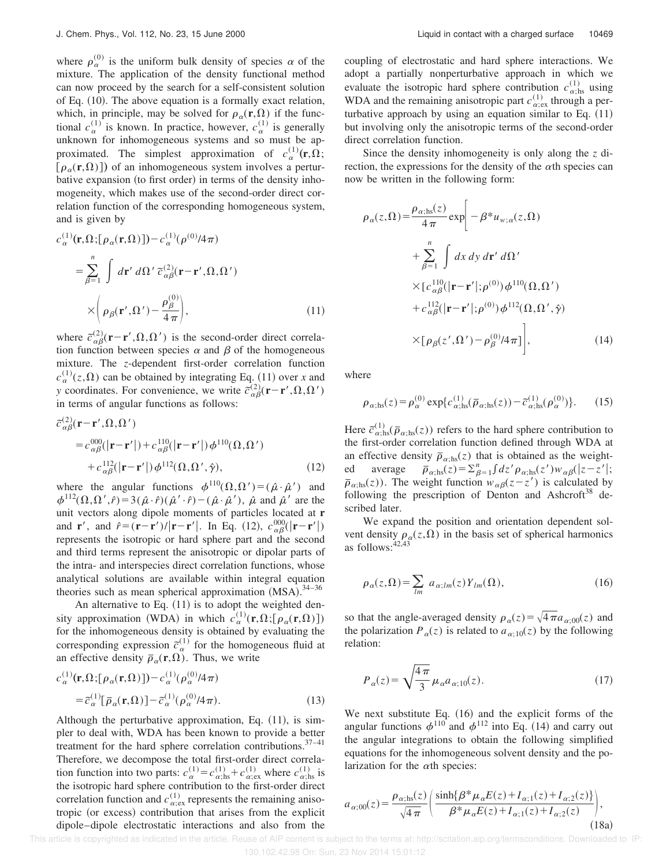where  $\rho_{\alpha}^{(0)}$  is the uniform bulk density of species  $\alpha$  of the mixture. The application of the density functional method can now proceed by the search for a self-consistent solution of Eq.  $(10)$ . The above equation is a formally exact relation, which, in principle, may be solved for  $\rho_{\alpha}(\mathbf{r},\Omega)$  if the functional  $c_{\alpha}^{(1)}$  is known. In practice, however,  $c_{\alpha}^{(1)}$  is generally unknown for inhomogeneous systems and so must be approximated. The simplest approximation of  $c_{\alpha}^{(1)}(\mathbf{r},\Omega)$ ;  $[\rho_{\alpha}(\mathbf{r},\Omega)]$  of an inhomogeneous system involves a perturbative expansion (to first order) in terms of the density inhomogeneity, which makes use of the second-order direct correlation function of the corresponding homogeneous system, and is given by

$$
c_{\alpha}^{(1)}(\mathbf{r},\Omega;[\rho_{\alpha}(\mathbf{r},\Omega)]) - c_{\alpha}^{(1)}(\rho^{(0)}/4\pi)
$$
  
\n
$$
= \sum_{\beta=1}^{n} \int d\mathbf{r}' d\Omega' \tilde{c}_{\alpha\beta}^{(2)}(\mathbf{r}-\mathbf{r}',\Omega,\Omega')
$$
  
\n
$$
\times \left(\rho_{\beta}(\mathbf{r}',\Omega') - \frac{\rho_{\beta}^{(0)}}{4\pi}\right),
$$
\n(11)

where  $\tilde{c}^{(2)}_{\alpha\beta}(\mathbf{r}-\mathbf{r}',\Omega,\Omega')$  is the second-order direct correlation function between species  $\alpha$  and  $\beta$  of the homogeneous mixture. The *z*-dependent first-order correlation function  $c_{\alpha}^{(1)}(z,\Omega)$  can be obtained by integrating Eq. (11) over *x* and *y* coordinates. For convenience, we write  $\tilde{c}^{(2)}_{\alpha\beta}(\mathbf{r}-\mathbf{r}',\Omega,\Omega')$ in terms of angular functions as follows:

$$
\tilde{c}_{\alpha\beta}^{(2)}(\mathbf{r}-\mathbf{r}',\Omega,\Omega')\n= c_{\alpha\beta}^{000}(|\mathbf{r}-\mathbf{r}'|) + c_{\alpha\beta}^{110}(|\mathbf{r}-\mathbf{r}'|) \phi^{110}(\Omega,\Omega')\n+ c_{\alpha\beta}^{112}(|\mathbf{r}-\mathbf{r}'|) \phi^{112}(\Omega,\Omega',\hat{\gamma}),
$$
\n(12)

where the angular functions  $\phi^{110}(\Omega,\Omega') = (\hat{\mu} \cdot \hat{\mu}')$  and  $\phi^{112}(\Omega,\Omega',\hat{r})=3(\hat{\mu}\cdot\hat{r})(\hat{\mu}'\cdot\hat{r})-(\hat{\mu}\cdot\hat{\mu}')$ ,  $\hat{\mu}$  and  $\hat{\mu}'$  are the unit vectors along dipole moments of particles located at **r** and **r**', and  $\hat{r} = (\mathbf{r} - \mathbf{r}')/|\mathbf{r} - \mathbf{r}'|$ . In Eq. (12),  $c_{\alpha\beta}^{000}(|\mathbf{r} - \mathbf{r}'|)$ represents the isotropic or hard sphere part and the second and third terms represent the anisotropic or dipolar parts of the intra- and interspecies direct correlation functions, whose analytical solutions are available within integral equation theories such as mean spherical approximation  $(MSA)$ .  $34-36$ 

An alternative to Eq.  $(11)$  is to adopt the weighted density approximation (WDA) in which  $c_{\alpha}^{(1)}(\mathbf{r},\Omega;[\rho_{\alpha}(\mathbf{r},\Omega)])$ for the inhomogeneous density is obtained by evaluating the corresponding expression  $\tilde{c}_{\alpha}^{(1)}$  for the homogeneous fluid at an effective density  $\overline{p}_{\alpha}(\mathbf{r},\Omega)$ . Thus, we write

$$
c_{\alpha}^{(1)}(\mathbf{r},\Omega;[\rho_{\alpha}(\mathbf{r},\Omega)]) - c_{\alpha}^{(1)}(\rho_{\alpha}^{(0)}/4\pi)
$$
  
=  $\tilde{c}_{\alpha}^{(1)}[\bar{\rho}_{\alpha}(\mathbf{r},\Omega)] - \tilde{c}_{\alpha}^{(1)}(\rho_{\alpha}^{(0)}/4\pi).$  (13)

Although the perturbative approximation, Eq.  $(11)$ , is simpler to deal with, WDA has been known to provide a better treatment for the hard sphere correlation contributions.<sup>37-41</sup> Therefore, we decompose the total first-order direct correlation function into two parts:  $c_{\alpha}^{(1)} = c_{\alpha;hs}^{(1)} + c_{\alpha;ex}^{(1)}$  where  $c_{\alpha;hs}^{(1)}$  is the isotropic hard sphere contribution to the first-order direct correlation function and  $c_{\alpha;\text{ex}}^{(1)}$  represents the remaining anisotropic (or excess) contribution that arises from the explicit dipole–dipole electrostatic interactions and also from the coupling of electrostatic and hard sphere interactions. We adopt a partially nonperturbative approach in which we evaluate the isotropic hard sphere contribution  $c_{\alpha;hs}^{(1)}$  using WDA and the remaining anisotropic part  $c_{\alpha;\text{ex}}^{(1)}$  through a perturbative approach by using an equation similar to Eq.  $(11)$ but involving only the anisotropic terms of the second-order direct correlation function.

Since the density inhomogeneity is only along the *z* direction, the expressions for the density of the  $\alpha$ th species can now be written in the following form:

$$
\rho_{\alpha}(z,\Omega) = \frac{\rho_{\alpha;\mathrm{hs}}(z)}{4\pi} \exp\bigg[-\beta^* u_{w;\alpha}(z,\Omega) \n+ \sum_{\beta=1}^n \int dx \, dy \, d\mathbf{r}' \, d\Omega' \n\times [c_{\alpha\beta}^{110}(|\mathbf{r}-\mathbf{r}'|; \rho^{(0)}) \phi^{110}(\Omega,\Omega') \n+ c_{\alpha\beta}^{112}(|\mathbf{r}-\mathbf{r}'|; \rho^{(0)}) \phi^{112}(\Omega,\Omega',\hat{\gamma}) \n\times [\rho_{\beta}(z',\Omega') - \rho_{\beta}^{(0)}/4\pi] \bigg],
$$
\n(14)

where

$$
\rho_{\alpha;\rm hs}(z) = \rho_{\alpha}^{(0)} \exp\{c_{\alpha;\rm hs}^{(1)}(\bar{\rho}_{\alpha;\rm hs}(z)) - \tilde{c}_{\alpha;\rm hs}^{(1)}(\rho_{\alpha}^{(0)})\}.\tag{15}
$$

Here  $\tilde{c}^{(1)}_{\alpha;{\rm hs}}(\bar{\rho}_{\alpha;{\rm hs}}(z))$  refers to the hard sphere contribution to the first-order correlation function defined through WDA at an effective density  $\bar{p}_{\alpha;hs}(z)$  that is obtained as the weighted average  $\overline{\rho}_{\alpha;\text{hs}}(z) = \sum_{\beta=1}^{n} \int dz' \rho_{\alpha;\text{hs}}(z') w_{\alpha\beta}(|z-z'|;$ ed average  $\bar{\rho}_{\alpha;hs}(z) = \sum_{\beta=1}^{n} \int dz' \rho_{\alpha;hs}(z') w_{\alpha\beta}(|z-z'|; \bar{\rho}_{\alpha;hs}(z))$ . The weight function  $w_{\alpha\beta}(z-z')$  is calculated by following the prescription of Denton and Ashcroft<sup>38</sup> described later.

We expand the position and orientation dependent solvent density  $\rho_{\alpha}(z,\Omega)$  in the basis set of spherical harmonics as follows: $42,43$ 

$$
\rho_{\alpha}(z,\Omega) = \sum_{lm} a_{\alpha;lm}(z) Y_{lm}(\Omega), \qquad (16)
$$

so that the angle-averaged density  $\rho_{\alpha}(z) = \sqrt{4 \pi} a_{\alpha;00}(z)$  and the polarization  $P_{\alpha}(z)$  is related to  $a_{\alpha;10}(z)$  by the following relation:

$$
P_{\alpha}(z) = \sqrt{\frac{4\pi}{3}} \mu_{\alpha} a_{\alpha;10}(z). \tag{17}
$$

We next substitute Eq.  $(16)$  and the explicit forms of the angular functions  $\phi^{110}$  and  $\phi^{112}$  into Eq. (14) and carry out the angular integrations to obtain the following simplified equations for the inhomogeneous solvent density and the polarization for the  $\alpha$ th species:

$$
a_{\alpha;00}(z) = \frac{\rho_{\alpha;\rm hs}(z)}{\sqrt{4\pi}} \left( \frac{\sinh\{\beta^* \mu_\alpha E(z) + I_{\alpha;1}(z) + I_{\alpha;2}(z)\}}{\beta^* \mu_\alpha E(z) + I_{\alpha;1}(z) + I_{\alpha;2}(z)} \right),\tag{18a}
$$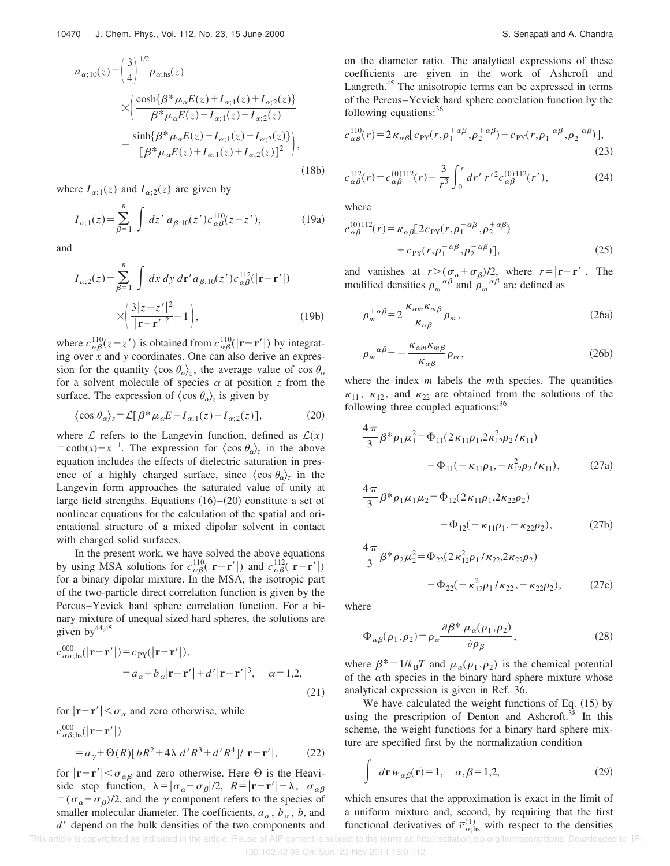$$
a_{\alpha;10}(z) = \left(\frac{3}{4}\right)^{1/2} \rho_{\alpha;hs}(z)
$$
  
 
$$
\times \left(\frac{\cosh{\beta^* \mu_\alpha E(z) + I_{\alpha;1}(z) + I_{\alpha;2}(z)}}{\beta^* \mu_\alpha E(z) + I_{\alpha;1}(z) + I_{\alpha;2}(z)} - \frac{\sinh{\beta^* \mu_\alpha E(z) + I_{\alpha;1}(z) + I_{\alpha;2}(z)}}{[\beta^* \mu_\alpha E(z) + I_{\alpha;1}(z) + I_{\alpha;2}(z)]^2}\right),
$$
(18b)

where  $I_{\alpha;1}(z)$  and  $I_{\alpha;2}(z)$  are given by

$$
I_{\alpha;1}(z) = \sum_{\beta=1}^{n} \int dz' \, a_{\beta;10}(z') c_{\alpha\beta}^{110}(z-z'), \tag{19a}
$$

and

$$
I_{\alpha;2}(z) = \sum_{\beta=1}^{n} \int dx \, dy \, d\mathbf{r}' a_{\beta;10}(z') c_{\alpha\beta}^{112}(|\mathbf{r} - \mathbf{r}'|)
$$

$$
\times \left(\frac{3|z - z'|^2}{|\mathbf{r} - \mathbf{r}'|^2} - 1\right),\tag{19b}
$$

where  $c_{\alpha\beta}^{110}(z-z')$  is obtained from  $c_{\alpha\beta}^{110}(|\mathbf{r}-\mathbf{r}'|)$  by integrating over *x* and *y* coordinates. One can also derive an expression for the quantity  $\langle \cos \theta_{\alpha} \rangle_z$ , the average value of cos  $\theta_{\alpha}$ for a solvent molecule of species  $\alpha$  at position  $\zeta$  from the surface. The expression of  $\langle \cos \theta_{\alpha} \rangle_z$  is given by

$$
\langle \cos \theta_{\alpha} \rangle_z = \mathcal{L}[\beta^* \mu_{\alpha} E + I_{\alpha;1}(z) + I_{\alpha;2}(z)], \tag{20}
$$

where  $\mathcal L$  refers to the Langevin function, defined as  $\mathcal L(x)$ = coth(x)-x<sup>-1</sup>. The expression for  $\langle \cos \theta_{\alpha} \rangle_z$  in the above equation includes the effects of dielectric saturation in presence of a highly charged surface, since  $\langle \cos \theta_{\alpha} \rangle_z$  in the Langevin form approaches the saturated value of unity at large field strengths. Equations  $(16)$ – $(20)$  constitute a set of nonlinear equations for the calculation of the spatial and orientational structure of a mixed dipolar solvent in contact with charged solid surfaces.

In the present work, we have solved the above equations by using MSA solutions for  $c_{\alpha\beta}^{110}(|\mathbf{r}-\mathbf{r}'|)$  and  $c_{\alpha\beta}^{112}(|\mathbf{r}-\mathbf{r}'|)$ for a binary dipolar mixture. In the MSA, the isotropic part of the two-particle direct correlation function is given by the Percus–Yevick hard sphere correlation function. For a binary mixture of unequal sized hard spheres, the solutions are given by $44,45$ 

$$
c_{\alpha\alpha;\mathrm{hs}}^{000}(|\mathbf{r}-\mathbf{r}'|) = c_{\mathrm{PY}}(|\mathbf{r}-\mathbf{r}'|),
$$
  
=  $a_{\alpha} + b_{\alpha}|\mathbf{r}-\mathbf{r}'| + d'|\mathbf{r}-\mathbf{r}'|^3, \quad \alpha = 1,2,$  (21)

for  $|\mathbf{r}-\mathbf{r}'| < \sigma_\alpha$  and zero otherwise, while  $c \frac{000}{\alpha \beta; \text{hs}}(|\mathbf{r} - \mathbf{r}'|)$  $=a_{\gamma} + \Theta(R)[bR^2 + 4\lambda d'R^3 + d'R^4]/|\mathbf{r} - \mathbf{r}'|,$  (22)

for  $|\mathbf{r}-\mathbf{r}'| < \sigma_{\alpha\beta}$  and zero otherwise. Here  $\Theta$  is the Heaviside step function,  $\lambda = |\sigma_{\alpha} - \sigma_{\beta}|/2$ ,  $R = |\mathbf{r} - \mathbf{r}'| - \lambda$ ,  $\sigma_{\alpha\beta}$  $=({\sigma_{\alpha}+\sigma_{\beta}})/2$ , and the  $\gamma$  component refers to the species of smaller molecular diameter. The coefficients,  $a_{\alpha}$ ,  $b_{\alpha}$ ,  $b_{\alpha}$ , and *d*<sup>8</sup> depend on the bulk densities of the two components and on the diameter ratio. The analytical expressions of these coefficients are given in the work of Ashcroft and Langreth.<sup>45</sup> The anisotropic terms can be expressed in terms of the Percus–Yevick hard sphere correlation function by the following equations: $36$ 

$$
c_{\alpha\beta}^{110}(r) = 2\kappa_{\alpha\beta} [c_{\text{PY}}(r,\rho_1^{+\alpha\beta},\rho_2^{+\alpha\beta}) - c_{\text{PY}}(r,\rho_1^{-\alpha\beta},\rho_2^{-\alpha\beta})],
$$
\n(23)

$$
c_{\alpha\beta}^{112}(r) = c_{\alpha\beta}^{(0)112}(r) - \frac{3}{r^3} \int_0^r dr' \ r'^2 c_{\alpha\beta}^{(0)112}(r'), \tag{24}
$$

where

$$
c_{\alpha\beta}^{(0)112}(r) = \kappa_{\alpha\beta} [2c_{\text{PY}}(r,\rho_1^{+\alpha\beta}, \rho_2^{+\alpha\beta}) + c_{\text{PY}}(r,\rho_1^{-\alpha\beta}, \rho_2^{-\alpha\beta})],
$$
\n(25)

and vanishes at  $r > (\sigma_\alpha + \sigma_\beta)/2$ , where  $r = |\mathbf{r} - \mathbf{r}'|$ . The modified densities  $\rho_m^{\alpha\beta}$  and  $\rho_m^{\alpha\beta}$  are defined as

$$
\rho_m^{+\alpha\beta} = 2 \frac{\kappa_{\alpha m} \kappa_{m\beta}}{\kappa_{\alpha\beta}} \rho_m, \qquad (26a)
$$

$$
\rho_m^{-\alpha\beta} = -\frac{\kappa_{\alpha m}\kappa_{m\beta}}{\kappa_{\alpha\beta}}\rho_m,\tag{26b}
$$

where the index *m* labels the *m*th species. The quantities  $\kappa_{11}$ ,  $\kappa_{12}$ , and  $\kappa_{22}$  are obtained from the solutions of the following three coupled equations: $36$ 

$$
\frac{4\pi}{3}\beta^*\rho_1\mu_1^2 = \Phi_{11}(2\kappa_{11}\rho_1, 2\kappa_{12}^2\rho_2/\kappa_{11}) - \Phi_{11}(-\kappa_{11}\rho_1, -\kappa_{12}^2\rho_2/\kappa_{11}),
$$
 (27a)

$$
\frac{4\pi}{3}\beta^*\rho_1\mu_1\mu_2 = \Phi_{12}(2\kappa_{11}\rho_1, 2\kappa_{22}\rho_2) \n- \Phi_{12}(-\kappa_{11}\rho_1, -\kappa_{22}\rho_2),
$$
\n(27b)

$$
\frac{4\pi}{3}\beta^* \rho_2 \mu_2^2 = \Phi_{22}(2\kappa_{12}^2 \rho_1/\kappa_{22}, 2\kappa_{22}\rho_2) - \Phi_{22}(-\kappa_{12}^2 \rho_1/\kappa_{22}, -\kappa_{22}\rho_2),
$$
 (27c)

where

$$
\Phi_{\alpha\beta}(\rho_1, \rho_2) = \rho_\alpha \frac{\partial \beta^* \mu_\alpha(\rho_1, \rho_2)}{\partial \rho_\beta},
$$
\n(28)

where  $\beta^* = 1/k_B T$  and  $\mu_\alpha(\rho_1, \rho_2)$  is the chemical potential of the  $\alpha$ th species in the binary hard sphere mixture whose analytical expression is given in Ref. 36.

We have calculated the weight functions of Eq.  $(15)$  by using the prescription of Denton and Ashcroft. $38$  In this scheme, the weight functions for a binary hard sphere mixture are specified first by the normalization condition

$$
\int d\mathbf{r} w_{\alpha\beta}(\mathbf{r}) = 1, \quad \alpha, \beta = 1, 2,
$$
 (29)

which ensures that the approximation is exact in the limit of a uniform mixture and, second, by requiring that the first functional derivatives of  $\tilde{c}_{\alpha,\text{hs}}^{(1)}$  with respect to the densities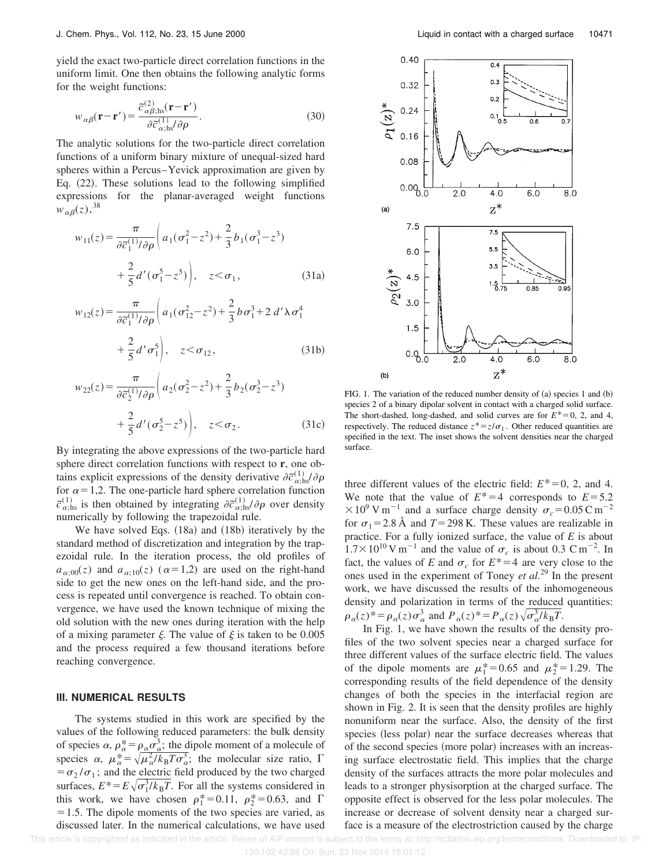yield the exact two-particle direct correlation functions in the uniform limit. One then obtains the following analytic forms for the weight functions:

$$
w_{\alpha\beta}(\mathbf{r}-\mathbf{r}') = \frac{\tilde{c}_{\alpha\beta,\text{hs}}^{(2)}(\mathbf{r}-\mathbf{r}')}{\partial \tilde{c}_{\alpha,\text{hs}}^{(1)}/\partial \rho}.
$$
(30)

The analytic solutions for the two-particle direct correlation functions of a uniform binary mixture of unequal-sized hard spheres within a Percus–Yevick approximation are given by Eq.  $(22)$ . These solutions lead to the following simplified expressions for the planar-averaged weight functions  $w_{\alpha\beta}(z)$ ,<sup>38</sup>

$$
w_{11}(z) = \frac{\pi}{\partial \tilde{c}_1^{(1)}/\partial \rho} \left( a_1(\sigma_1^2 - z^2) + \frac{2}{3} b_1(\sigma_1^3 - z^3) + \frac{2}{5} d'(\sigma_1^5 - z^5) \right), \quad z < \sigma_1,
$$
 (31a)

$$
w_{12}(z) = \frac{\pi}{\partial \tilde{c}_1^{(1)}/\partial \rho} \left( a_1 (\sigma_{12}^2 - z^2) + \frac{2}{3} b \sigma_1^3 + 2 d' \lambda \sigma_1^4 + \frac{2}{5} d' \sigma_1^5 \right), \quad z < \sigma_{12},
$$
 (31b)

$$
w_{22}(z) = \frac{\pi}{\partial \tilde{c}_2^{(1)}/\partial \rho} \left( a_2(\sigma_2^2 - z^2) + \frac{2}{3} b_2(\sigma_2^3 - z^3) + \frac{2}{5} d'(\sigma_2^5 - z^5) \right), \quad z < \sigma_2.
$$
 (31c)

By integrating the above expressions of the two-particle hard sphere direct correlation functions with respect to **r**, one obtains explicit expressions of the density derivative  $\partial \tilde{c}_{\alpha;hs}^{(1)} / \partial \rho$ for  $\alpha=1,2$ . The one-particle hard sphere correlation function  $\tilde{c}^{(1)}_{\alpha;\text{hs}}$  is then obtained by integrating  $\partial \tilde{c}^{(1)}_{\alpha;\text{hs}}/\partial \rho$  over density numerically by following the trapezoidal rule.

We have solved Eqs.  $(18a)$  and  $(18b)$  iteratively by the standard method of discretization and integration by the trapezoidal rule. In the iteration process, the old profiles of  $a_{\alpha;00}(z)$  and  $a_{\alpha;10}(z)$  ( $\alpha=1,2$ ) are used on the right-hand side to get the new ones on the left-hand side, and the process is repeated until convergence is reached. To obtain convergence, we have used the known technique of mixing the old solution with the new ones during iteration with the help of a mixing parameter  $\xi$ . The value of  $\xi$  is taken to be 0.005 and the process required a few thousand iterations before reaching convergence.

#### **III. NUMERICAL RESULTS**

The systems studied in this work are specified by the values of the following reduced parameters: the bulk density of species  $\alpha$ ,  $\rho_{\alpha}^* = \rho_{\alpha} \sigma_{\alpha}^3$ ; the dipole moment of a molecule of species  $\alpha$ ,  $\mu_{\alpha}^* = \sqrt{\mu_{\alpha}^2/k_B T \sigma_{\alpha}^3}$ ; the molecular size ratio,  $\Gamma$  $= \sigma_2/\sigma_1$ ; and the electric field produced by the two charged surfaces,  $E^* = E \sqrt{\sigma_1^3 / k_B T}$ . For all the systems considered in this work, we have chosen  $\rho_1^* = 0.11$ ,  $\rho_2^* = 0.63$ , and  $\Gamma$  $=1.5$ . The dipole moments of the two species are varied, as discussed later. In the numerical calculations, we have used



FIG. 1. The variation of the reduced number density of  $(a)$  species 1 and  $(b)$ species 2 of a binary dipolar solvent in contact with a charged solid surface. The short-dashed, long-dashed, and solid curves are for  $E^* = 0$ , 2, and 4, respectively. The reduced distance  $z^* = z/\sigma_1$ . Other reduced quantities are specified in the text. The inset shows the solvent densities near the charged surface.

three different values of the electric field:  $E^* = 0$ , 2, and 4. We note that the value of  $E^*=4$  corresponds to  $E=5.2$  $\times$  10<sup>9</sup> V m<sup>-1</sup> and a surface charge density  $\sigma_c$  = 0.05 C m<sup>-2</sup> for  $\sigma_1$ =2.8 Å and *T*=298 K. These values are realizable in practice. For a fully ionized surface, the value of *E* is about  $1.7 \times 10^{10}$  V m<sup>-1</sup> and the value of  $\sigma_c$  is about 0.3 C m<sup>-2</sup>. In fact, the values of *E* and  $\sigma_c$  for  $E^* = 4$  are very close to the ones used in the experiment of Toney *et al.*<sup>29</sup> In the present work, we have discussed the results of the inhomogeneous density and polarization in terms of the reduced quantities:  $\rho_{\alpha}(z)^* = \rho_{\alpha}(z) \sigma_{\alpha}^3$  and  $P_{\alpha}(z)^* = P_{\alpha}(z) \sqrt{\sigma_{\alpha}^3 / k_B T}$ .

In Fig. 1, we have shown the results of the density profiles of the two solvent species near a charged surface for three different values of the surface electric field. The values of the dipole moments are  $\mu_1^* = 0.65$  and  $\mu_2^* = 1.29$ . The corresponding results of the field dependence of the density changes of both the species in the interfacial region are shown in Fig. 2. It is seen that the density profiles are highly nonuniform near the surface. Also, the density of the first species (less polar) near the surface decreases whereas that of the second species (more polar) increases with an increasing surface electrostatic field. This implies that the charge density of the surfaces attracts the more polar molecules and leads to a stronger physisorption at the charged surface. The opposite effect is observed for the less polar molecules. The increase or decrease of solvent density near a charged surface is a measure of the electrostriction caused by the charge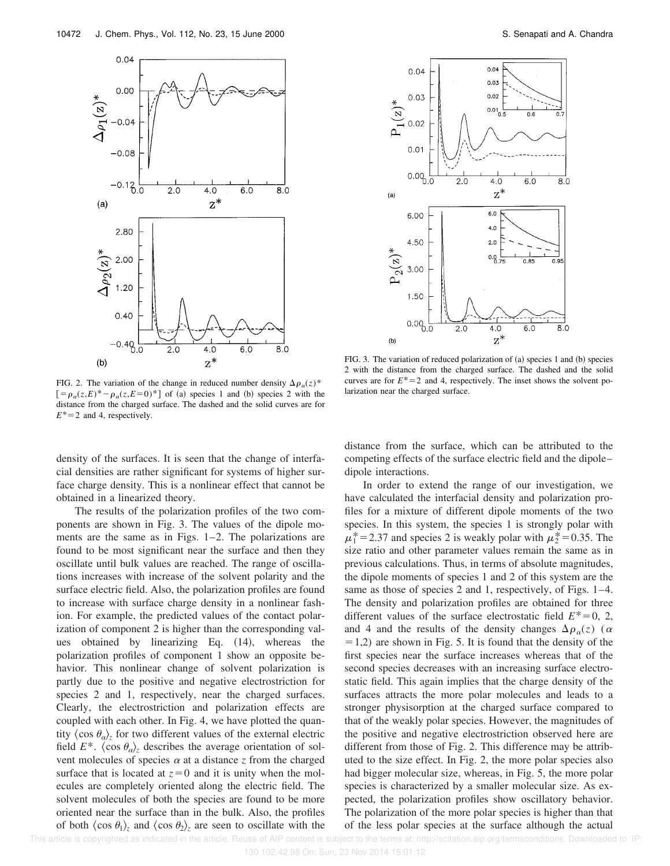



FIG. 2. The variation of the change in reduced number density  $\Delta \rho_a(z)^*$  $[-\rho_{\alpha}(z,E)^*-\rho_{\alpha}(z,E=0)^*]$  of (a) species 1 and (b) species 2 with the distance from the charged surface. The dashed and the solid curves are for  $E^*$  = 2 and 4, respectively.

FIG. 3. The variation of reduced polarization of  $(a)$  species 1 and  $(b)$  species 2 with the distance from the charged surface. The dashed and the solid curves are for  $E^*=2$  and 4, respectively. The inset shows the solvent polarization near the charged surface.

density of the surfaces. It is seen that the change of interfacial densities are rather significant for systems of higher surface charge density. This is a nonlinear effect that cannot be obtained in a linearized theory.

The results of the polarization profiles of the two components are shown in Fig. 3. The values of the dipole moments are the same as in Figs. 1–2. The polarizations are found to be most significant near the surface and then they oscillate until bulk values are reached. The range of oscillations increases with increase of the solvent polarity and the surface electric field. Also, the polarization profiles are found to increase with surface charge density in a nonlinear fashion. For example, the predicted values of the contact polarization of component 2 is higher than the corresponding values obtained by linearizing Eq.  $(14)$ , whereas the polarization profiles of component 1 show an opposite behavior. This nonlinear change of solvent polarization is partly due to the positive and negative electrostriction for species 2 and 1, respectively, near the charged surfaces. Clearly, the electrostriction and polarization effects are coupled with each other. In Fig. 4, we have plotted the quantity  $\langle \cos \theta_{\alpha} \rangle_z$  for two different values of the external electric field  $E^*$ .  $\langle \cos \theta_{\alpha} \rangle$  describes the average orientation of solvent molecules of species  $\alpha$  at a distance  $\zeta$  from the charged surface that is located at  $z=0$  and it is unity when the molecules are completely oriented along the electric field. The solvent molecules of both the species are found to be more oriented near the surface than in the bulk. Also, the profiles of both  $\langle \cos \theta_1 \rangle_z$  and  $\langle \cos \theta_2 \rangle_z$  are seen to oscillate with the distance from the surface, which can be attributed to the competing effects of the surface electric field and the dipole– dipole interactions.

In order to extend the range of our investigation, we have calculated the interfacial density and polarization profiles for a mixture of different dipole moments of the two species. In this system, the species 1 is strongly polar with  $\mu_1^*$  = 2.37 and species 2 is weakly polar with  $\mu_2^*$  = 0.35. The size ratio and other parameter values remain the same as in previous calculations. Thus, in terms of absolute magnitudes, the dipole moments of species 1 and 2 of this system are the same as those of species 2 and 1, respectively, of Figs.  $1-4$ . The density and polarization profiles are obtained for three different values of the surface electrostatic field  $E^* = 0$ , 2, and 4 and the results of the density changes  $\Delta \rho_{\alpha}(z)$  ( $\alpha$  $=1,2$ ) are shown in Fig. 5. It is found that the density of the first species near the surface increases whereas that of the second species decreases with an increasing surface electrostatic field. This again implies that the charge density of the surfaces attracts the more polar molecules and leads to a stronger physisorption at the charged surface compared to that of the weakly polar species. However, the magnitudes of the positive and negative electrostriction observed here are different from those of Fig. 2. This difference may be attributed to the size effect. In Fig. 2, the more polar species also had bigger molecular size, whereas, in Fig. 5, the more polar species is characterized by a smaller molecular size. As expected, the polarization profiles show oscillatory behavior. The polarization of the more polar species is higher than that of the less polar species at the surface although the actual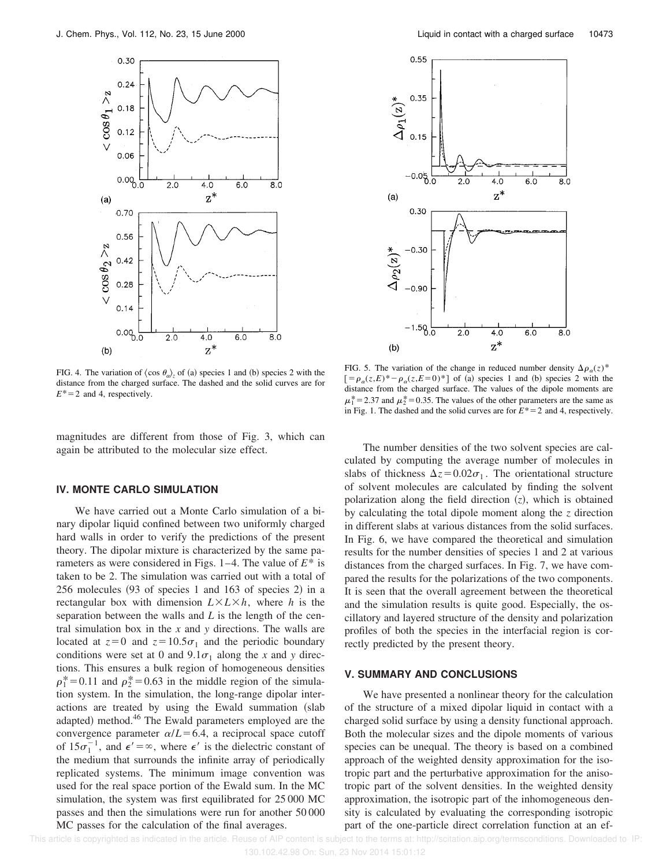

FIG. 4. The variation of  $\langle \cos \theta_{\alpha} \rangle_z$  of (a) species 1 and (b) species 2 with the distance from the charged surface. The dashed and the solid curves are for  $E^*$  = 2 and 4, respectively.

magnitudes are different from those of Fig. 3, which can again be attributed to the molecular size effect.

#### **IV. MONTE CARLO SIMULATION**

We have carried out a Monte Carlo simulation of a binary dipolar liquid confined between two uniformly charged hard walls in order to verify the predictions of the present theory. The dipolar mixture is characterized by the same parameters as were considered in Figs. 1–4. The value of *E*\* is taken to be 2. The simulation was carried out with a total of  $256$  molecules  $(93$  of species 1 and 163 of species 2) in a rectangular box with dimension  $L \times L \times h$ , where *h* is the separation between the walls and *L* is the length of the central simulation box in the *x* and *y* directions. The walls are located at  $z=0$  and  $z=10.5\sigma_1$  and the periodic boundary conditions were set at 0 and  $9.1\sigma_1$  along the *x* and *y* directions. This ensures a bulk region of homogeneous densities  $\rho_1^*$  = 0.11 and  $\rho_2^*$  = 0.63 in the middle region of the simulation system. In the simulation, the long-range dipolar interactions are treated by using the Ewald summation (slab adapted) method.<sup>46</sup> The Ewald parameters employed are the convergence parameter  $\alpha/L = 6.4$ , a reciprocal space cutoff of  $15\sigma_1^{-1}$ , and  $\epsilon' = \infty$ , where  $\epsilon'$  is the dielectric constant of the medium that surrounds the infinite array of periodically replicated systems. The minimum image convention was used for the real space portion of the Ewald sum. In the MC simulation, the system was first equilibrated for 25 000 MC passes and then the simulations were run for another 50 000 MC passes for the calculation of the final averages.



FIG. 5. The variation of the change in reduced number density  $\Delta \rho_{\alpha}(z)^*$  $[-\rho_{\alpha}(z,E)^*-\rho_{\alpha}(z,E=0)^*]$  of (a) species 1 and (b) species 2 with the distance from the charged surface. The values of the dipole moments are  $\mu_1^*$  = 2.37 and  $\mu_2^*$  = 0.35. The values of the other parameters are the same as in Fig. 1. The dashed and the solid curves are for  $E^* = 2$  and 4, respectively.

The number densities of the two solvent species are calculated by computing the average number of molecules in slabs of thickness  $\Delta z = 0.02\sigma_1$ . The orientational structure of solvent molecules are calculated by finding the solvent polarization along the field direction  $(z)$ , which is obtained by calculating the total dipole moment along the *z* direction in different slabs at various distances from the solid surfaces. In Fig. 6, we have compared the theoretical and simulation results for the number densities of species 1 and 2 at various distances from the charged surfaces. In Fig. 7, we have compared the results for the polarizations of the two components. It is seen that the overall agreement between the theoretical and the simulation results is quite good. Especially, the oscillatory and layered structure of the density and polarization profiles of both the species in the interfacial region is correctly predicted by the present theory.

#### **V. SUMMARY AND CONCLUSIONS**

We have presented a nonlinear theory for the calculation of the structure of a mixed dipolar liquid in contact with a charged solid surface by using a density functional approach. Both the molecular sizes and the dipole moments of various species can be unequal. The theory is based on a combined approach of the weighted density approximation for the isotropic part and the perturbative approximation for the anisotropic part of the solvent densities. In the weighted density approximation, the isotropic part of the inhomogeneous density is calculated by evaluating the corresponding isotropic part of the one-particle direct correlation function at an ef-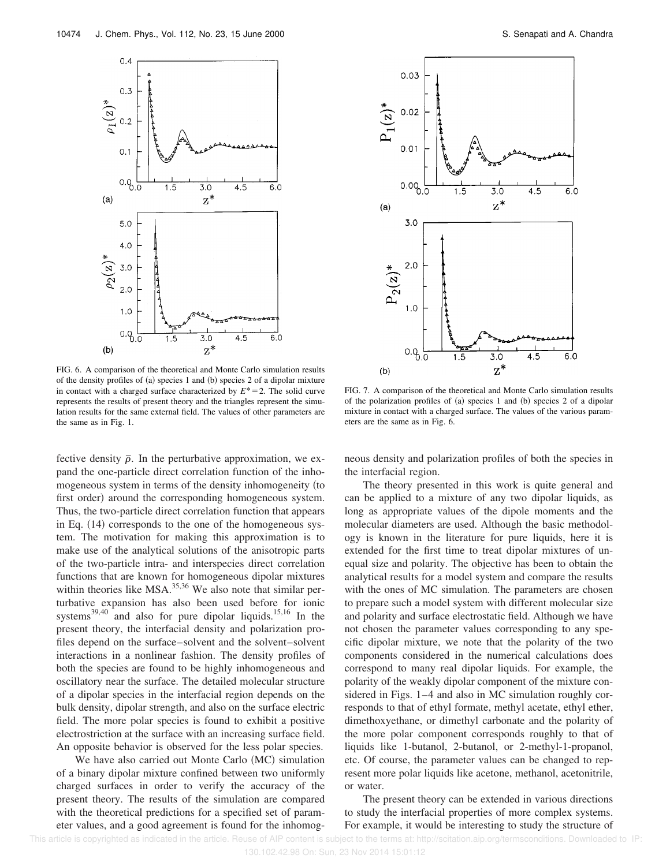

FIG. 6. A comparison of the theoretical and Monte Carlo simulation results of the density profiles of  $(a)$  species 1 and  $(b)$  species 2 of a dipolar mixture in contact with a charged surface characterized by  $E^* = 2$ . The solid curve represents the results of present theory and the triangles represent the simulation results for the same external field. The values of other parameters are the same as in Fig. 1.

fective density  $\bar{\rho}$ . In the perturbative approximation, we expand the one-particle direct correlation function of the inhomogeneous system in terms of the density inhomogeneity (to first order) around the corresponding homogeneous system. Thus, the two-particle direct correlation function that appears in Eq.  $(14)$  corresponds to the one of the homogeneous system. The motivation for making this approximation is to make use of the analytical solutions of the anisotropic parts of the two-particle intra- and interspecies direct correlation functions that are known for homogeneous dipolar mixtures within theories like MSA. $35,36$  We also note that similar perturbative expansion has also been used before for ionic systems<sup>39,40</sup> and also for pure dipolar liquids.<sup>15,16</sup> In the present theory, the interfacial density and polarization profiles depend on the surface–solvent and the solvent–solvent interactions in a nonlinear fashion. The density profiles of both the species are found to be highly inhomogeneous and oscillatory near the surface. The detailed molecular structure of a dipolar species in the interfacial region depends on the bulk density, dipolar strength, and also on the surface electric field. The more polar species is found to exhibit a positive electrostriction at the surface with an increasing surface field. An opposite behavior is observed for the less polar species.

We have also carried out Monte Carlo (MC) simulation of a binary dipolar mixture confined between two uniformly charged surfaces in order to verify the accuracy of the present theory. The results of the simulation are compared with the theoretical predictions for a specified set of parameter values, and a good agreement is found for the inhomog-



FIG. 7. A comparison of the theoretical and Monte Carlo simulation results of the polarization profiles of  $(a)$  species 1 and  $(b)$  species 2 of a dipolar mixture in contact with a charged surface. The values of the various parameters are the same as in Fig. 6.

neous density and polarization profiles of both the species in the interfacial region.

The theory presented in this work is quite general and can be applied to a mixture of any two dipolar liquids, as long as appropriate values of the dipole moments and the molecular diameters are used. Although the basic methodology is known in the literature for pure liquids, here it is extended for the first time to treat dipolar mixtures of unequal size and polarity. The objective has been to obtain the analytical results for a model system and compare the results with the ones of MC simulation. The parameters are chosen to prepare such a model system with different molecular size and polarity and surface electrostatic field. Although we have not chosen the parameter values corresponding to any specific dipolar mixture, we note that the polarity of the two components considered in the numerical calculations does correspond to many real dipolar liquids. For example, the polarity of the weakly dipolar component of the mixture considered in Figs. 1–4 and also in MC simulation roughly corresponds to that of ethyl formate, methyl acetate, ethyl ether, dimethoxyethane, or dimethyl carbonate and the polarity of the more polar component corresponds roughly to that of liquids like 1-butanol, 2-butanol, or 2-methyl-1-propanol, etc. Of course, the parameter values can be changed to represent more polar liquids like acetone, methanol, acetonitrile, or water.

The present theory can be extended in various directions to study the interfacial properties of more complex systems. For example, it would be interesting to study the structure of